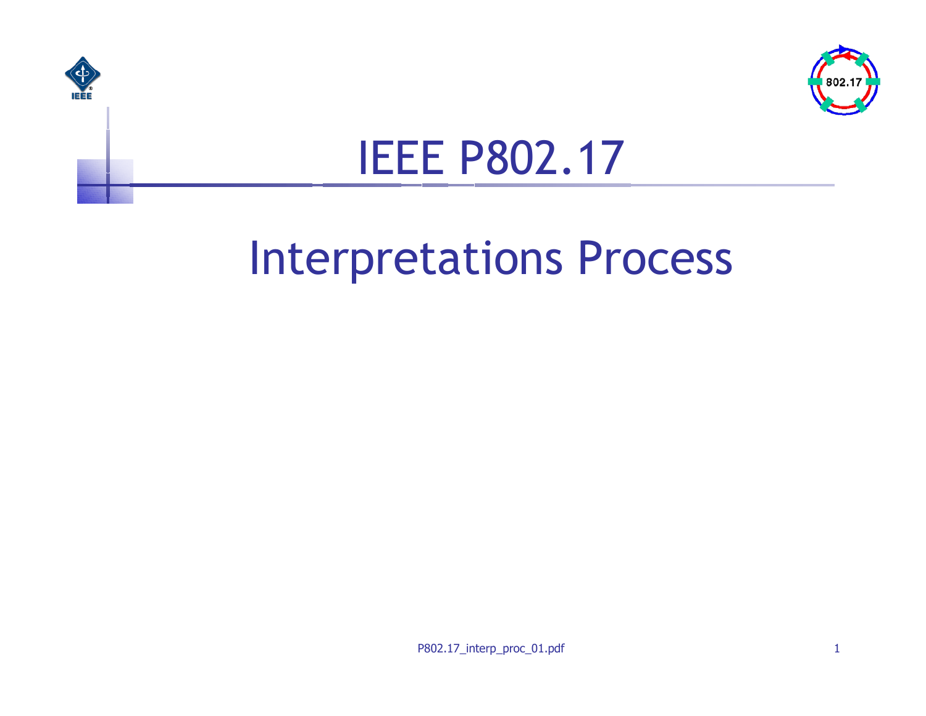



## IEEE P802.17

### Interpretations Process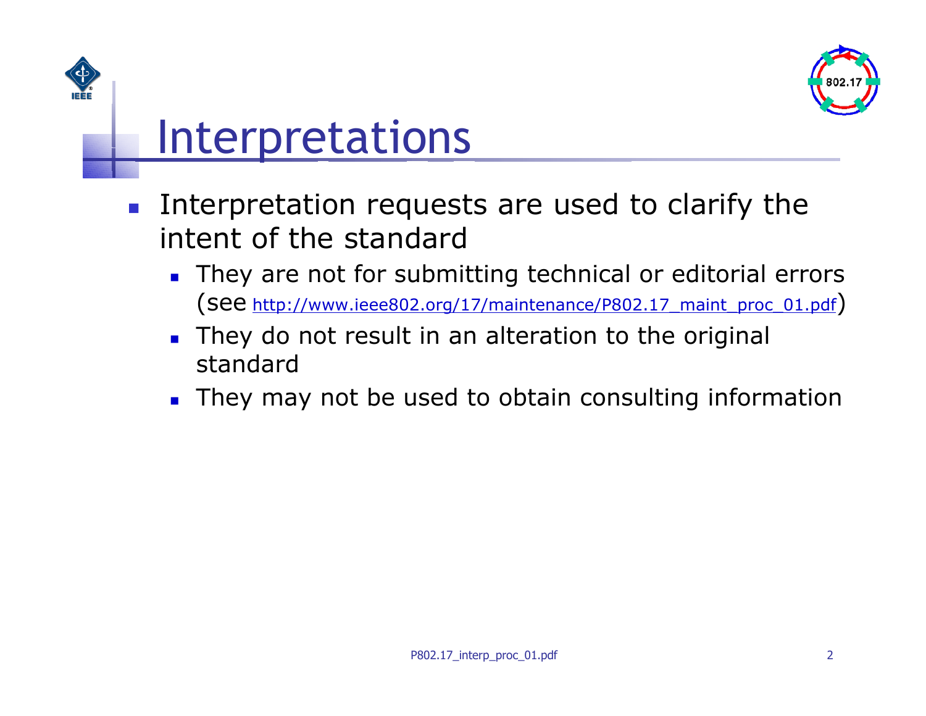



#### **Interpretations**

- $\mathcal{L}^{\text{max}}_{\text{max}}$  Interpretation requests are used to clarify the intent of the standard
	- They are not for submitting technical or editorial errors  $($  See http://ww[w.ieee802.org/17/maintenance](http://www.ieee802.org/17/maintenance/P802.17_maint_proc_01.pdf)/P802.17 maint proc 01.pdf $)$
	- $\blacksquare$  They do not result in an alteration to the original standard
	- **They may not be used to obtain consulting information**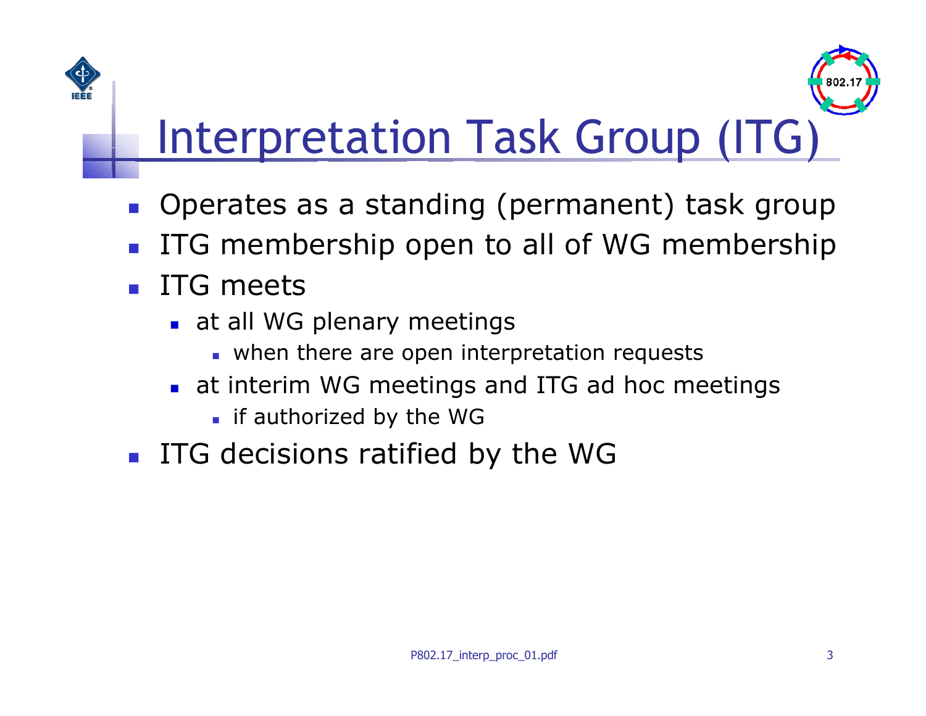

## Interpretation Task Group (ITG)

- $\mathcal{L}(\mathcal{A})$ Operates as a standing (permanent) task group
- $\left\vert \cdot \right\vert$ ITG membership open to all of WG membership
- $\overline{\phantom{a}}$  ITG meets
	- **at all WG plenary meetings** 
		- **u** when there are open interpretation requests
	- at interim WG meetings and ITG ad hoc meetings
		- **i** if authorized by the WG
- **ITG** decisions ratified by the WG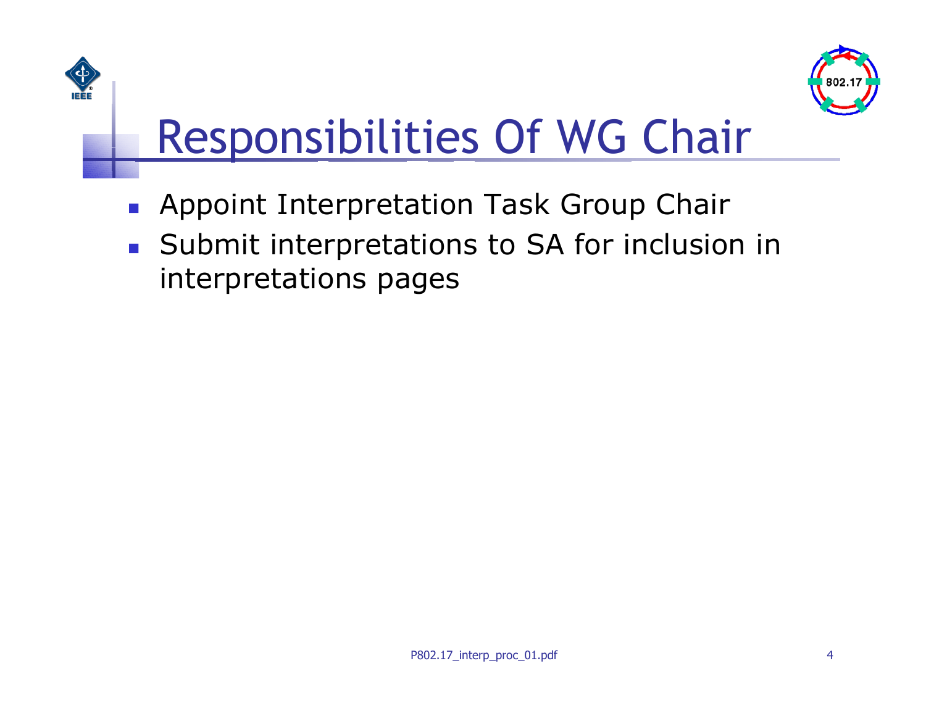



# Responsibilities Of WG Chair

- $\mathcal{L}_{\mathcal{A}}$ Appoint Interpretation Task Group Chair
- **Submit interpretations to SA for inclusion in** interpretations pages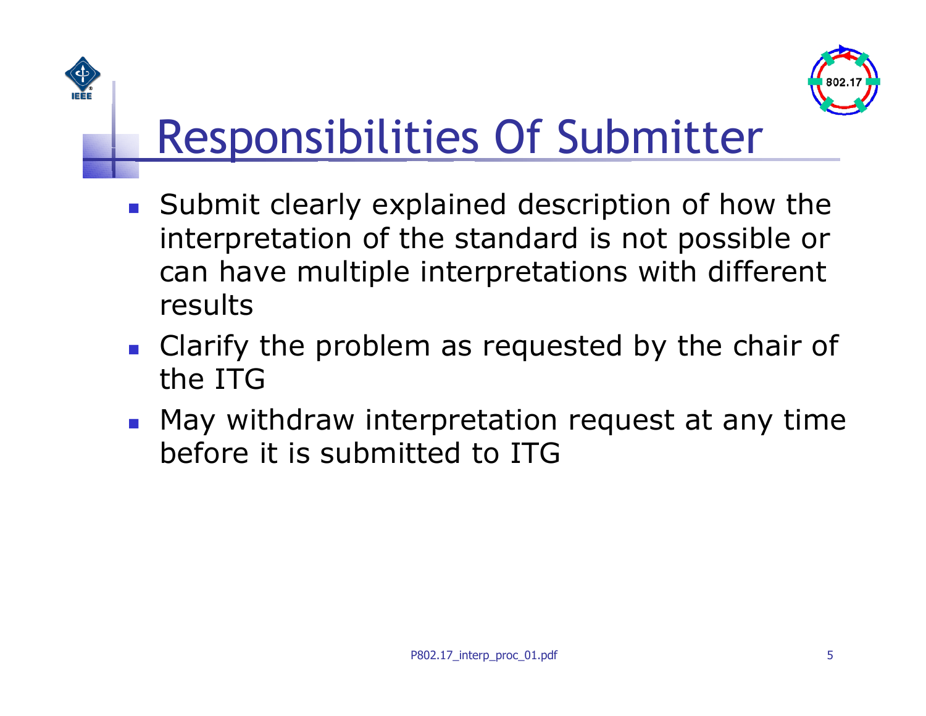



## Responsibilities Of Submitter

- Submit clearly explain ed description of how the interpretation of the standard is not possible or can have multiple interpretations with different results
- **Clarify the problem as requested by the chair of** the ITG
- **May withdraw interpretation request at any time** before it is submitted to ITG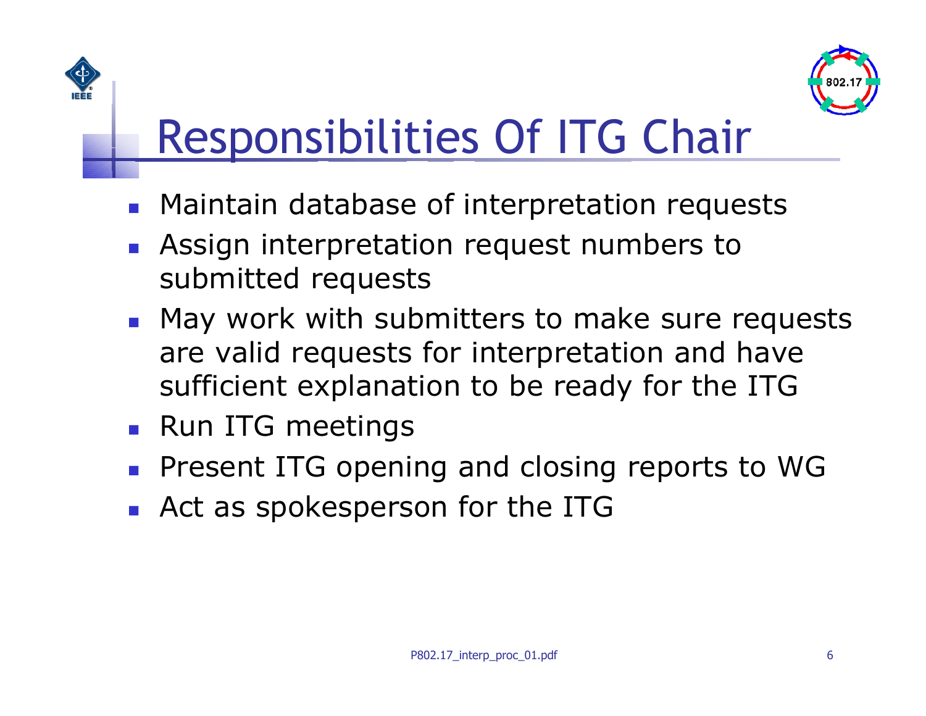

# Responsibilities Of ITG Chair

- **Maintain database of interpretation requests**
- $\mathcal{L}^{\text{max}}$  Assign interpretation request numbers to submitted requests
- **May work with submitters to make sure requests** are valid requests for interpretation and have sufficient explanation to be ready for the ITG
- **Run ITG meetings**
- $\left\vert \cdot \right\rangle$ Present ITG opening and closing reports to WG
- $\overline{\phantom{a}}$ Act as spokesperson for the ITG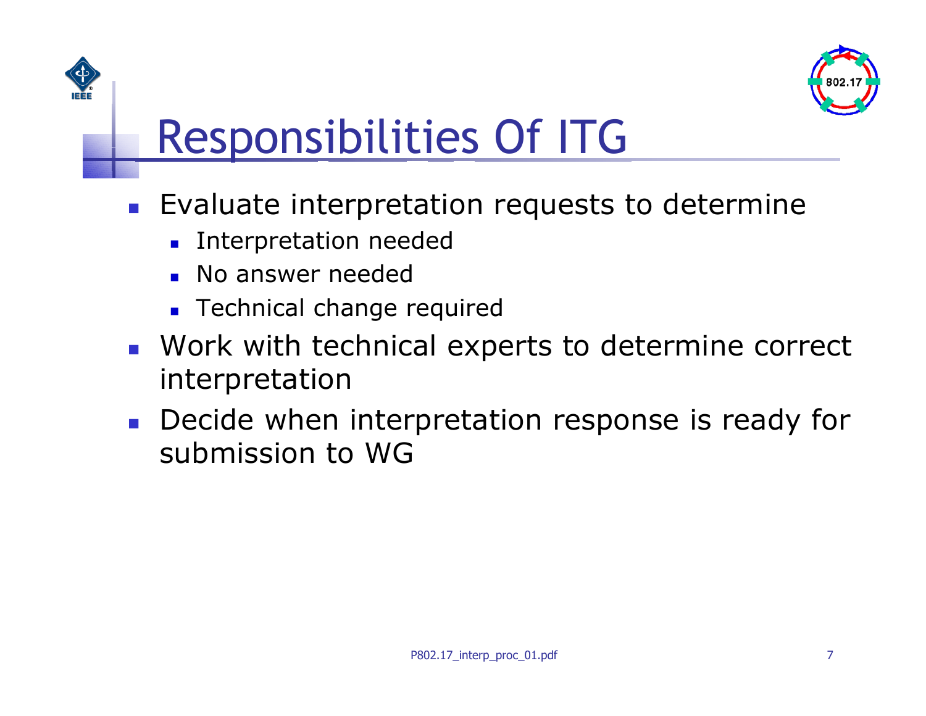

## Responsibilities Of ITG

- **Evaluate interpretation requests to determine** 
	- u Interpretation needed
	- No answer needed
	- **Technical change required**
- **Work with technical experts to determine correct** interpretation
- **Decide when interpretation response is ready for** submission to WG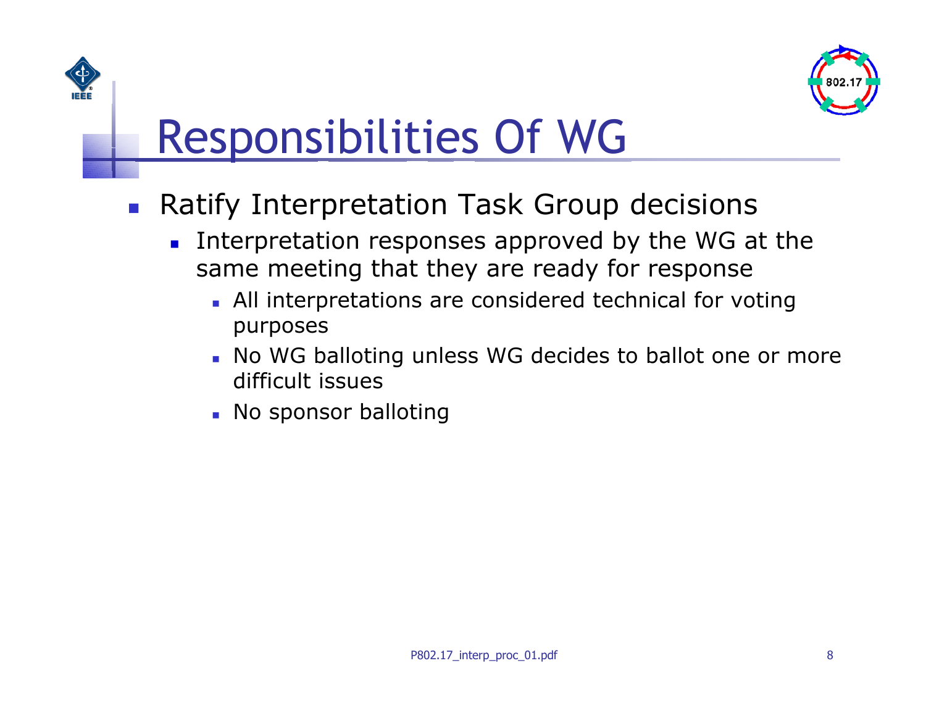

## Responsibilities Of WG

- $\mathcal{L}_{\text{max}}$  Ratify Interpretation Task Group decisions
	- u Interpretation responses approved by the WG at the same meeting that they are ready for response
		- . All interpretations are considered technical for voting purposes
		- No WG balloting unless WG decides to ballot one or more difficult issues
		- **No sponsor balloting**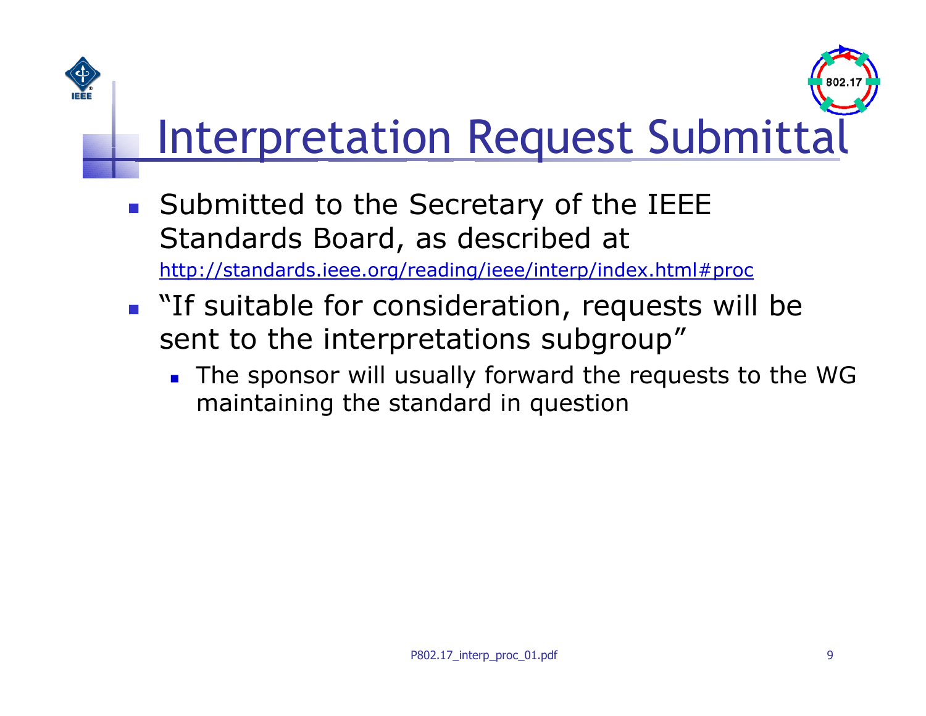



- Interpretation Request Submittal
- **Submitted to the Secretary of the IEEE** Standards Board, as described at http://standar ds.ieee.or [g/reading/ieee/interp/index.html#proc](http://standards.ieee.org/reading/ieee/interp/index.html)
- **The "If suitable for consideration, requests will be** sent to the interpretations subgroup"
	- **The sponsor will usually forward the requests to the WG** maintaining the standard in question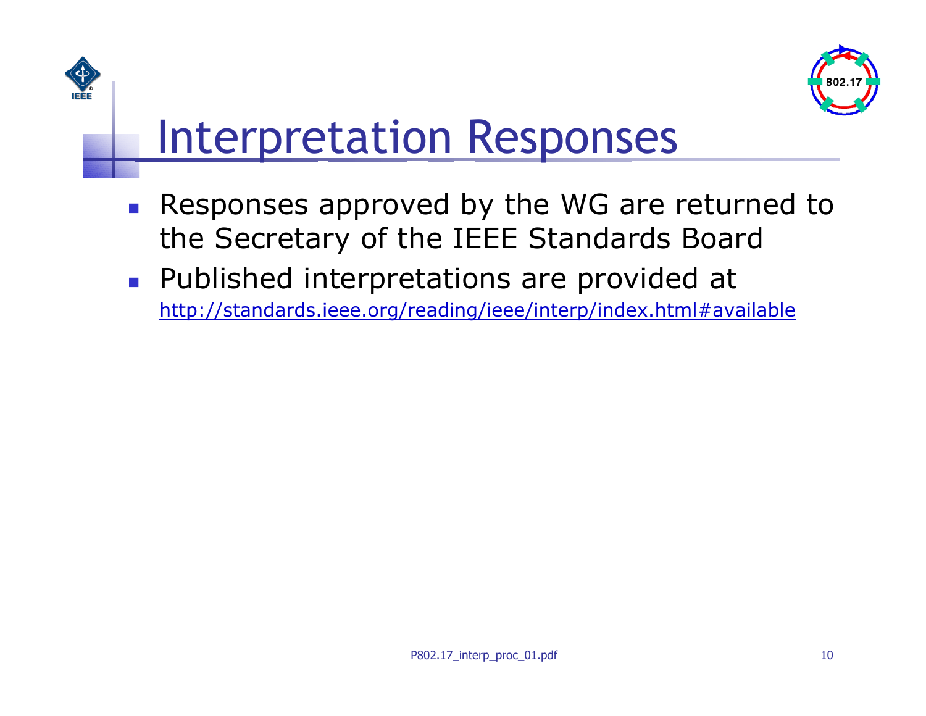



### Interpretation Responses

- $\overline{\phantom{a}}$  Responses approved by the WG are returned to the Secretary of the IEEE Standards Board
- **Published interpretations are provided at**

http://standar ds.ieee.or [g/reading/ieee/interp/index.html#available](http://standards.ieee.org/reading/ieee/interp/index.html)